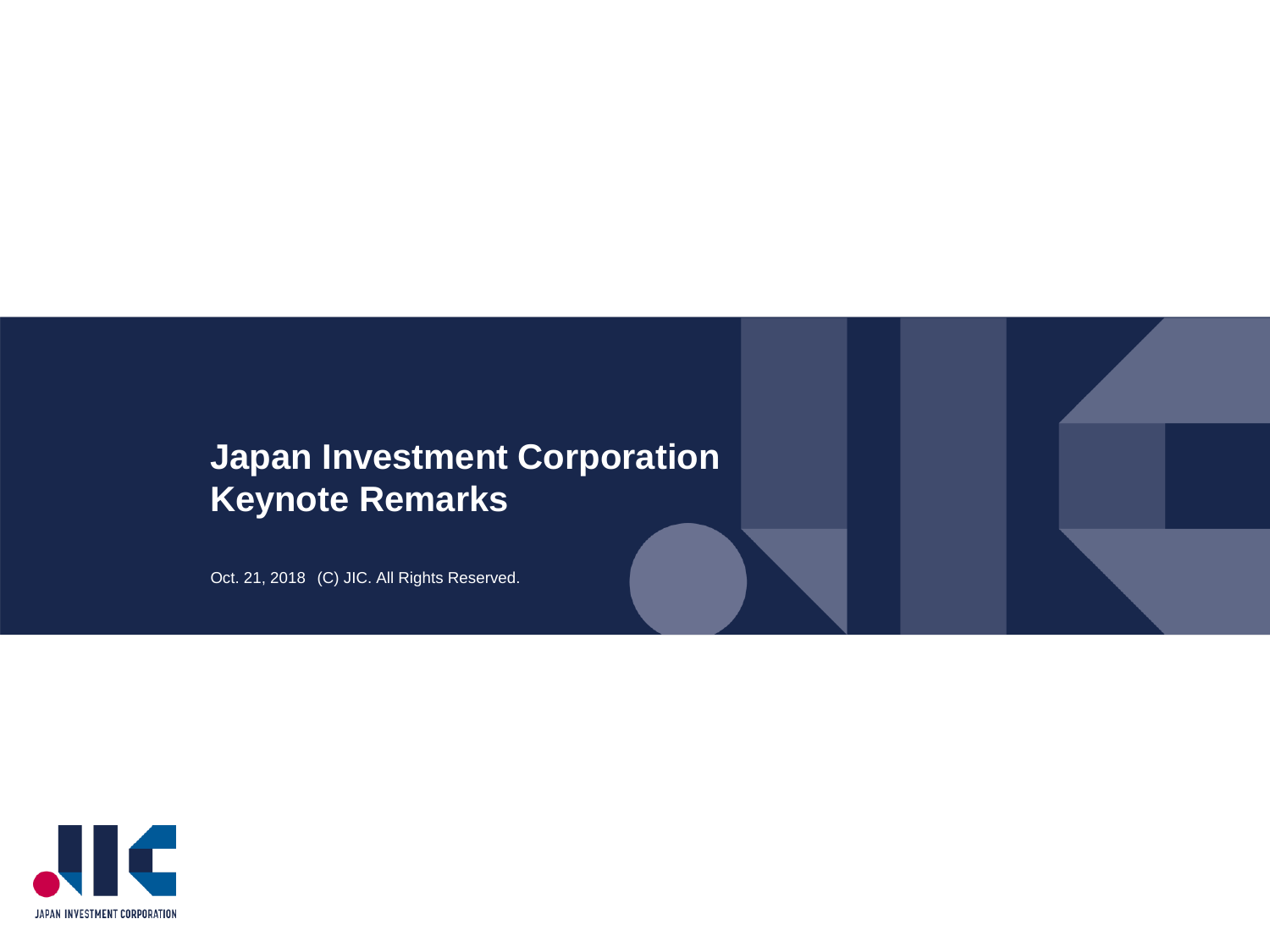### **Japan Investment Corporation Keynote Remarks**

Oct. 21, 2018 (C) JIC. All Rights Reserved.

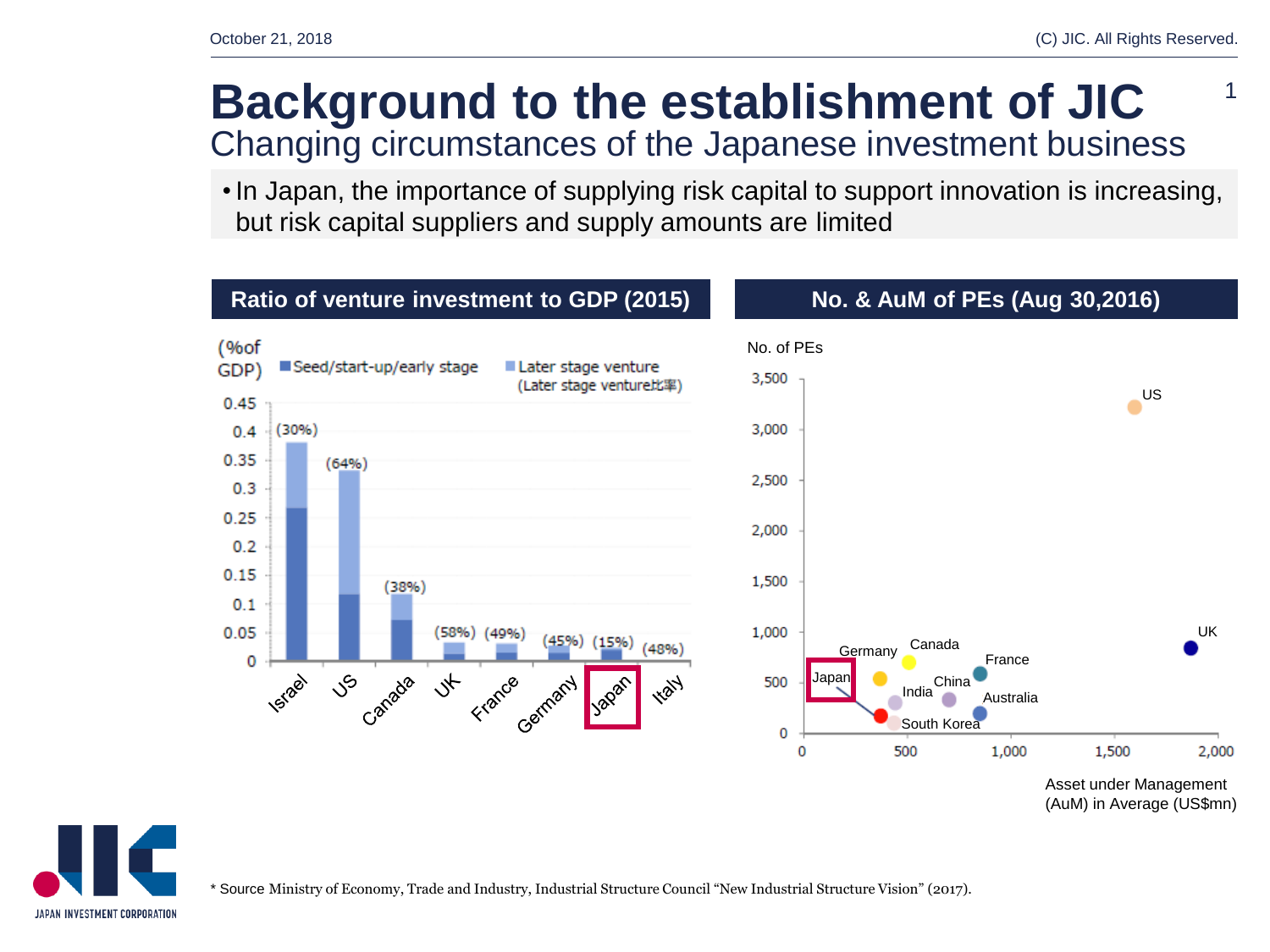1

### **Background to the establishment of JIC** Changing circumstances of the Japanese investment business

• In Japan, the importance of supplying risk capital to support innovation is increasing, but risk capital suppliers and supply amounts are limited



# JAPAN INVESTMENT CORPORATION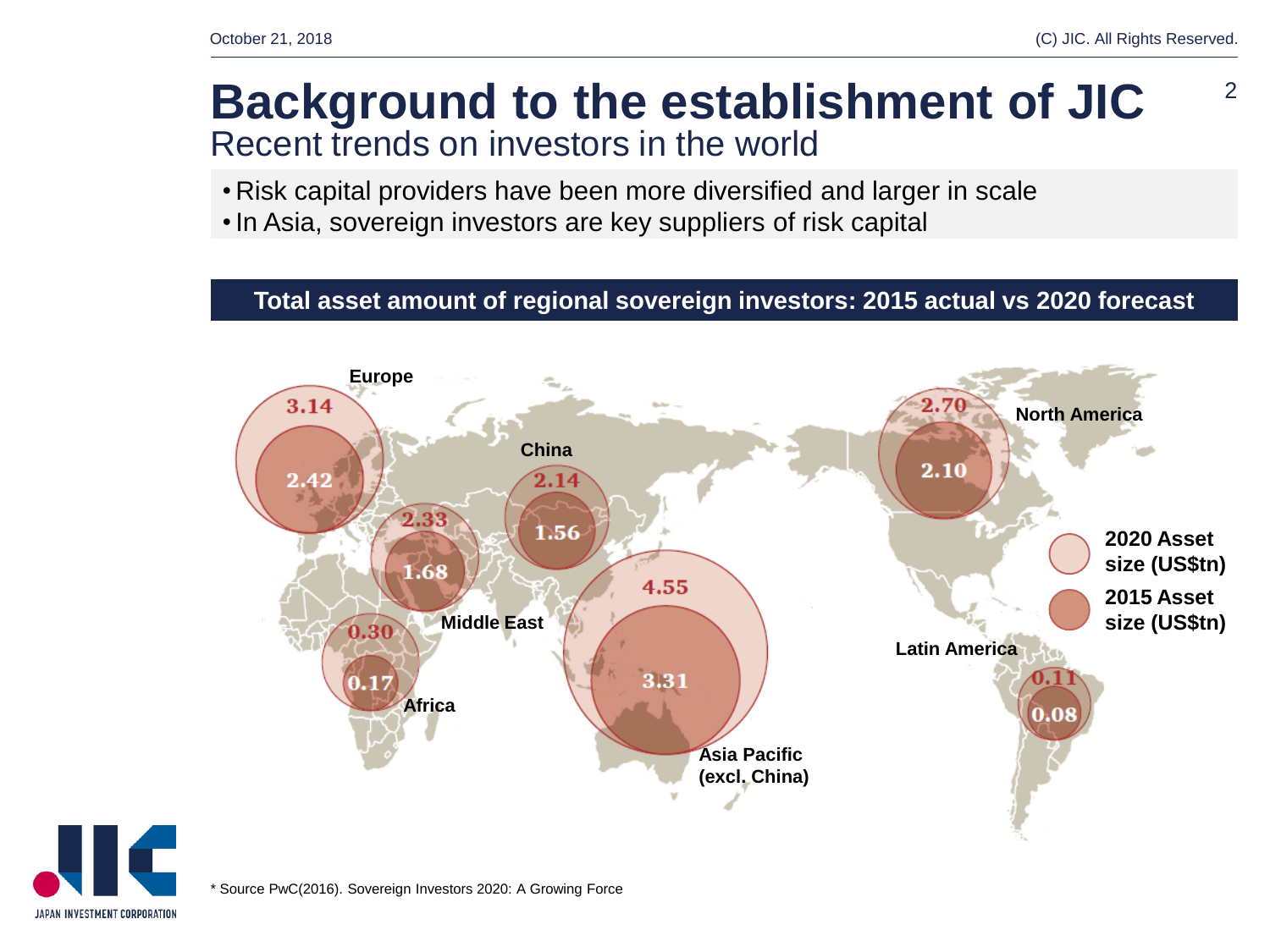2

### **Background to the establishment of JIC** Recent trends on investors in the world

- Risk capital providers have been more diversified and larger in scale
- •In Asia, sovereign investors are key suppliers of risk capital

### **Total asset amount of regional sovereign investors: 2015 actual vs 2020 forecast**



JAPAN INVESTMENT CORPORATION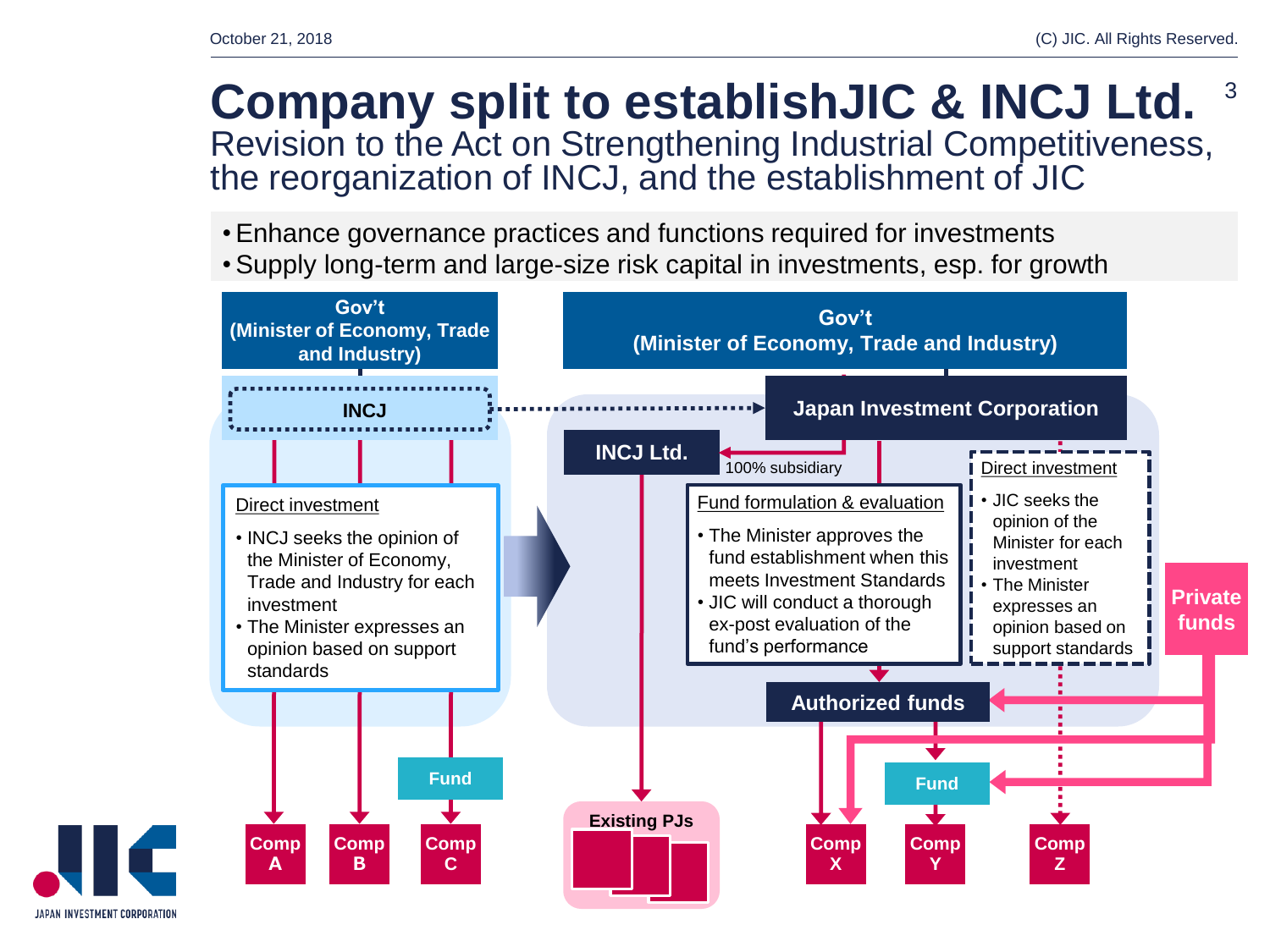### **Company split to establishJIC & INCJ Ltd.** Revision to the Act on Strengthening Industrial Competitiveness, the reorganization of INCJ, and the establishment of JIC 3

- •Enhance governance practices and functions required for investments
- •Supply long-term and large-size risk capital in investments, esp. for growth



JAPAN INVESTMENT CORPORATION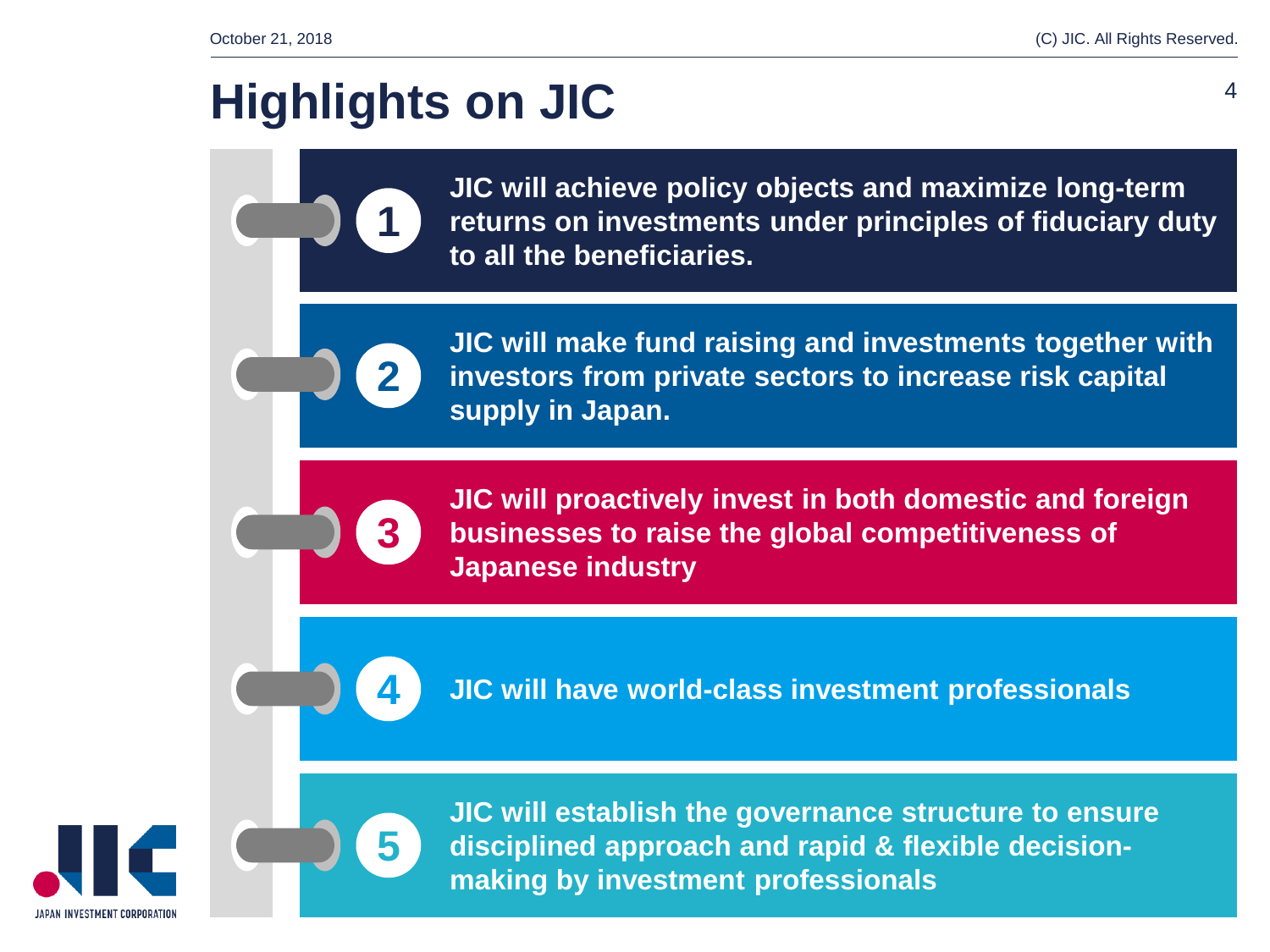## **Highlights on JIC** <sup>4</sup>

**1**

**2**

**3**

**4**

**5**

**JIC will achieve policy objects and maximize long-term returns on investments under principles of fiduciary duty to all the beneficiaries.**

**JIC will make fund raising and investments together with investors from private sectors to increase risk capital supply in Japan.**

**JIC will proactively invest in both domestic and foreign businesses to raise the global competitiveness of Japanese industry** 

**JIC will have world-class investment professionals**



**JIC will establish the governance structure to ensure disciplined approach and rapid & flexible decisionmaking by investment professionals**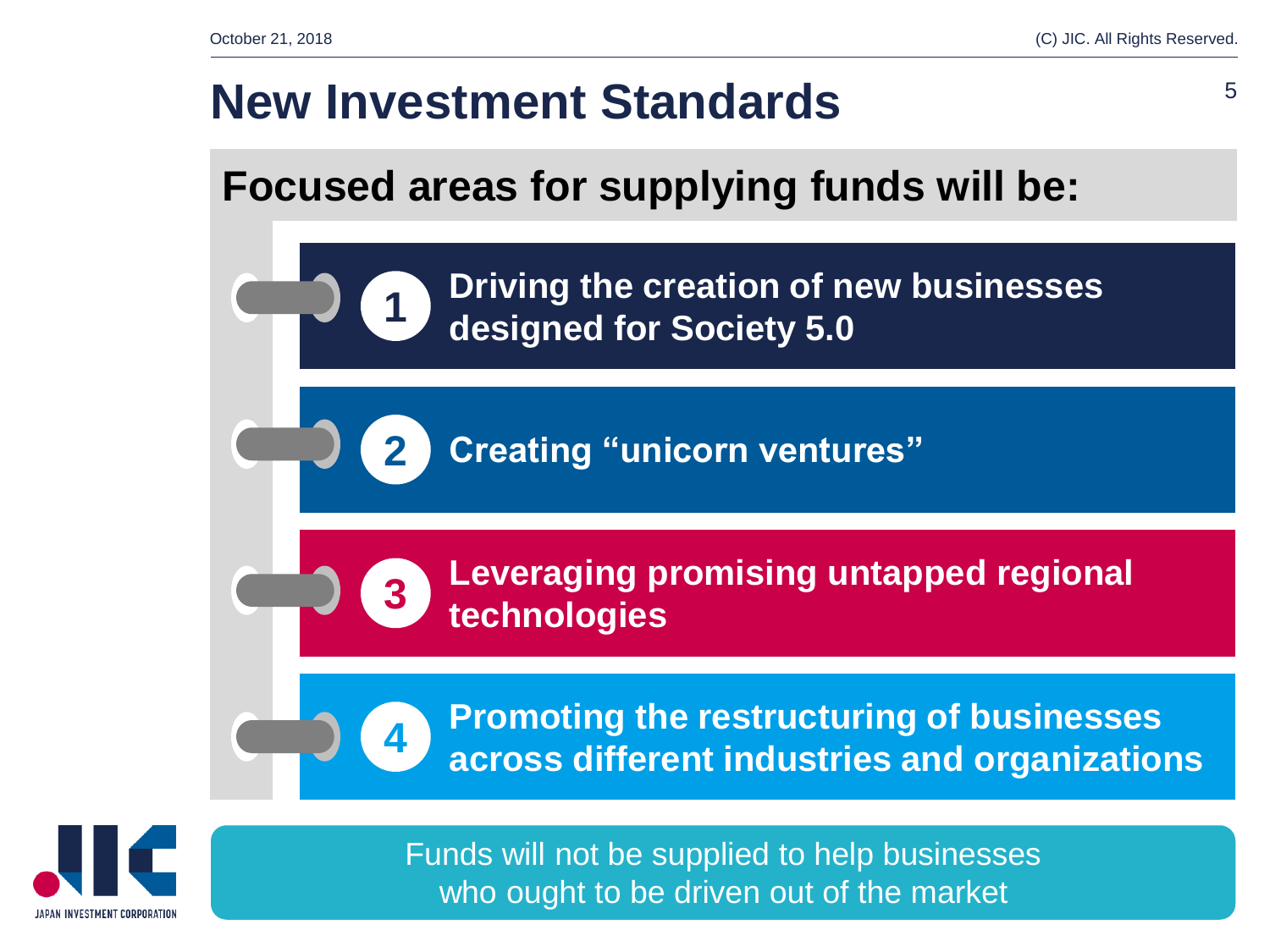## **New Investment Standards**  $5$

**1**

**2**

**3**

**4**

### **Focused areas for supplying funds will be:**

**Driving the creation of new businesses designed for Society 5.0**

**Creating "unicorn ventures"**

**Leveraging promising untapped regional technologies**

**Promoting the restructuring of businesses across different industries and organizations**



Funds will not be supplied to help businesses who ought to be driven out of the market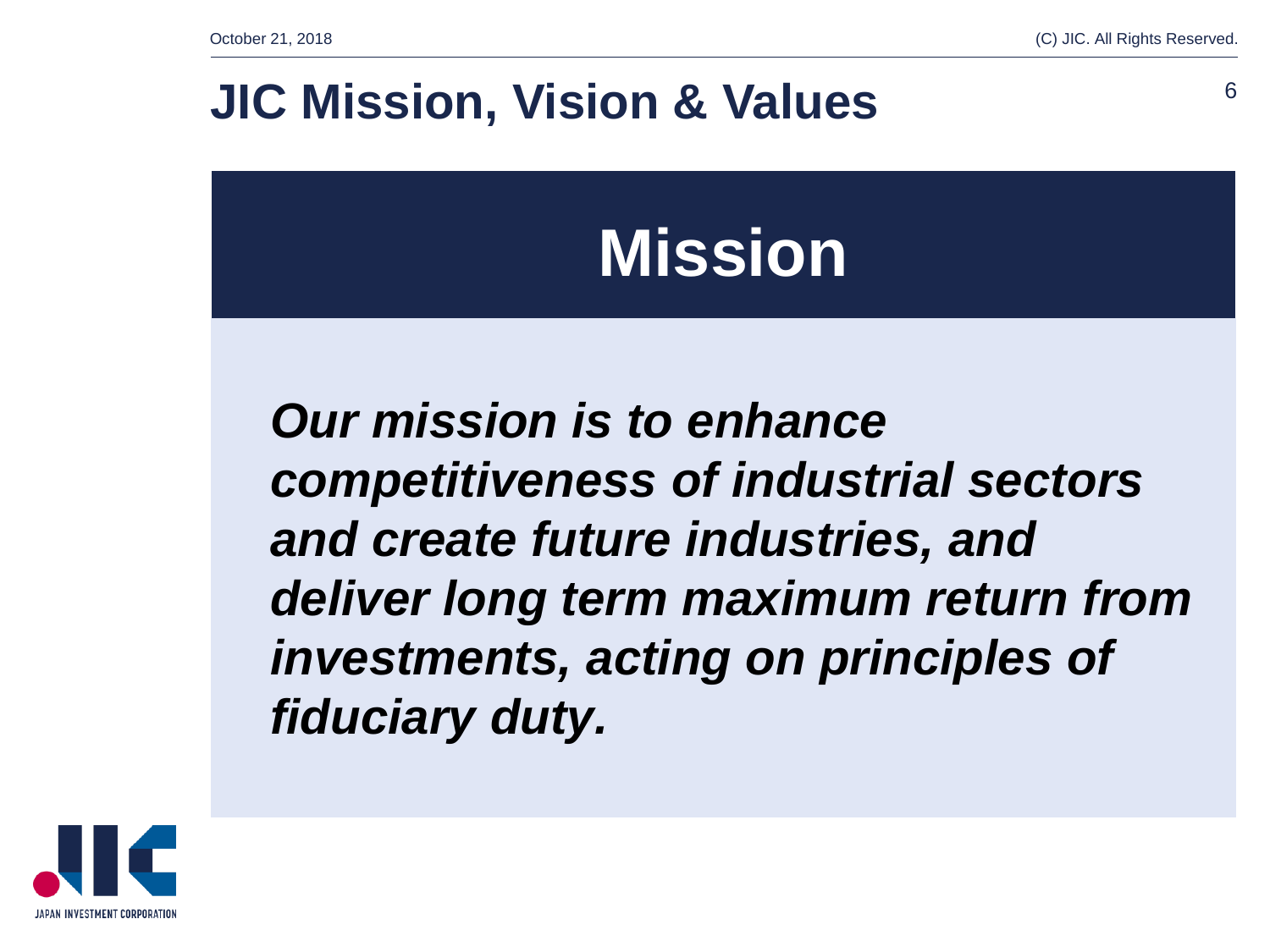### **JIC Mission, Vision & Values**

## **Mission**

*Our mission is to enhance competitiveness of industrial sectors and create future industries, and deliver long term maximum return from investments, acting on principles of fiduciary duty.*

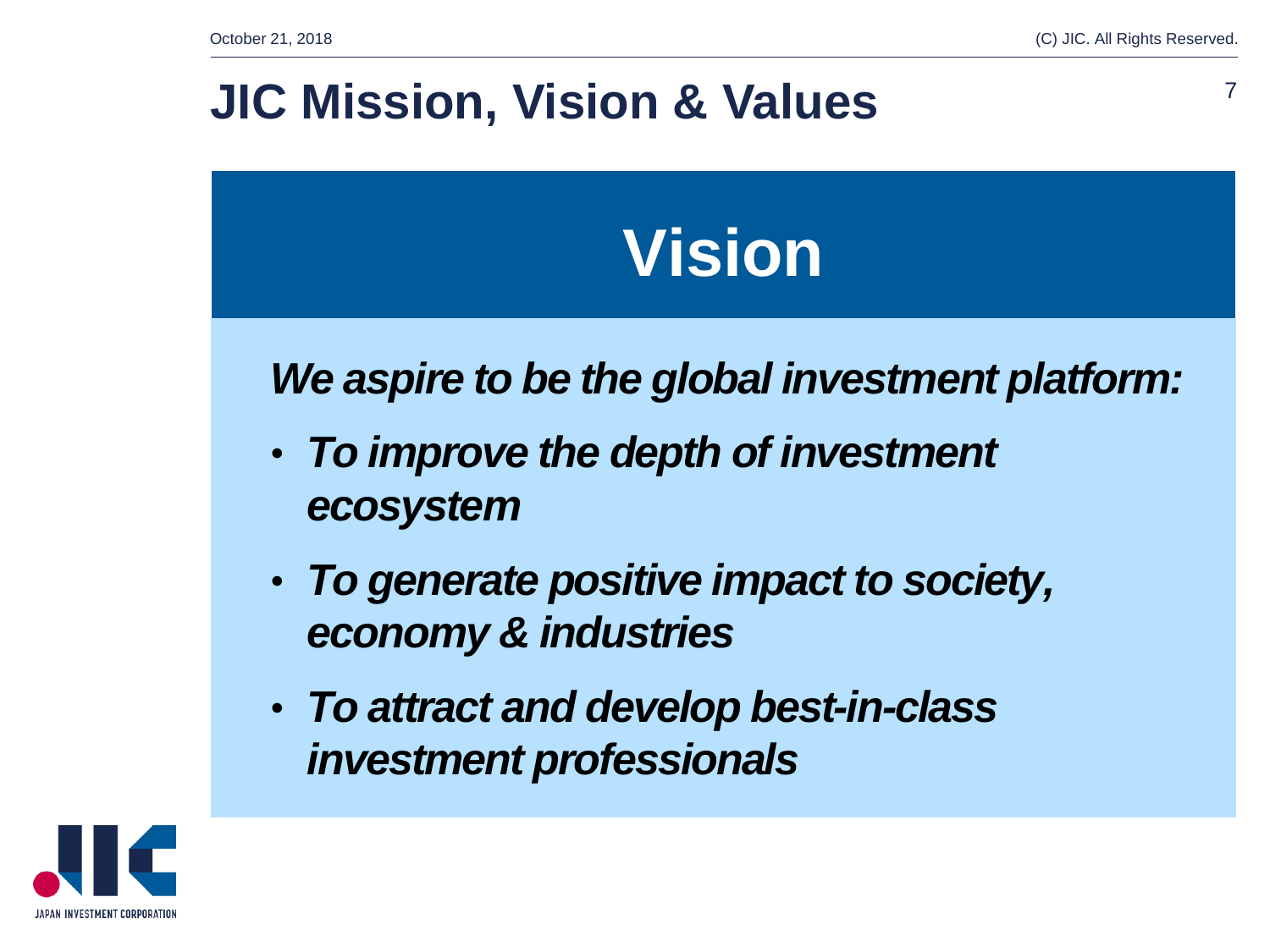### **JIC Mission, Vision & Values**

## **Vision**

### *We aspire to be the global investment platform:*

- *To improve the depth of investment ecosystem*
- *To generate positive impact to society, economy & industries*
- *To attract and develop best-in-class investment professionals*

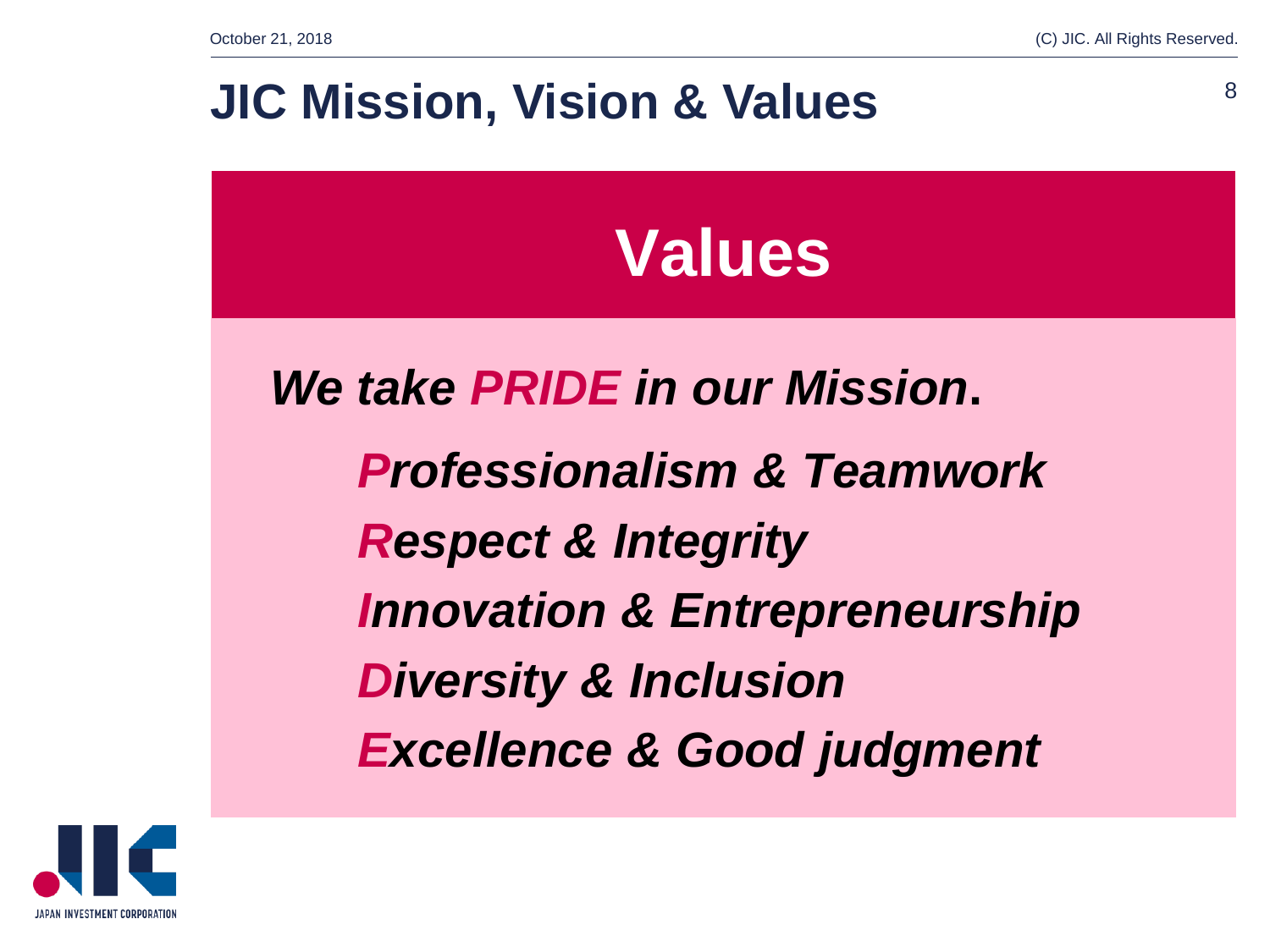### **JIC Mission, Vision & Values** 8

## **Values**

*We take PRIDE in our Mission***.** *Professionalism & Teamwork Respect & Integrity Innovation & Entrepreneurship Diversity & Inclusion Excellence & Good judgment*

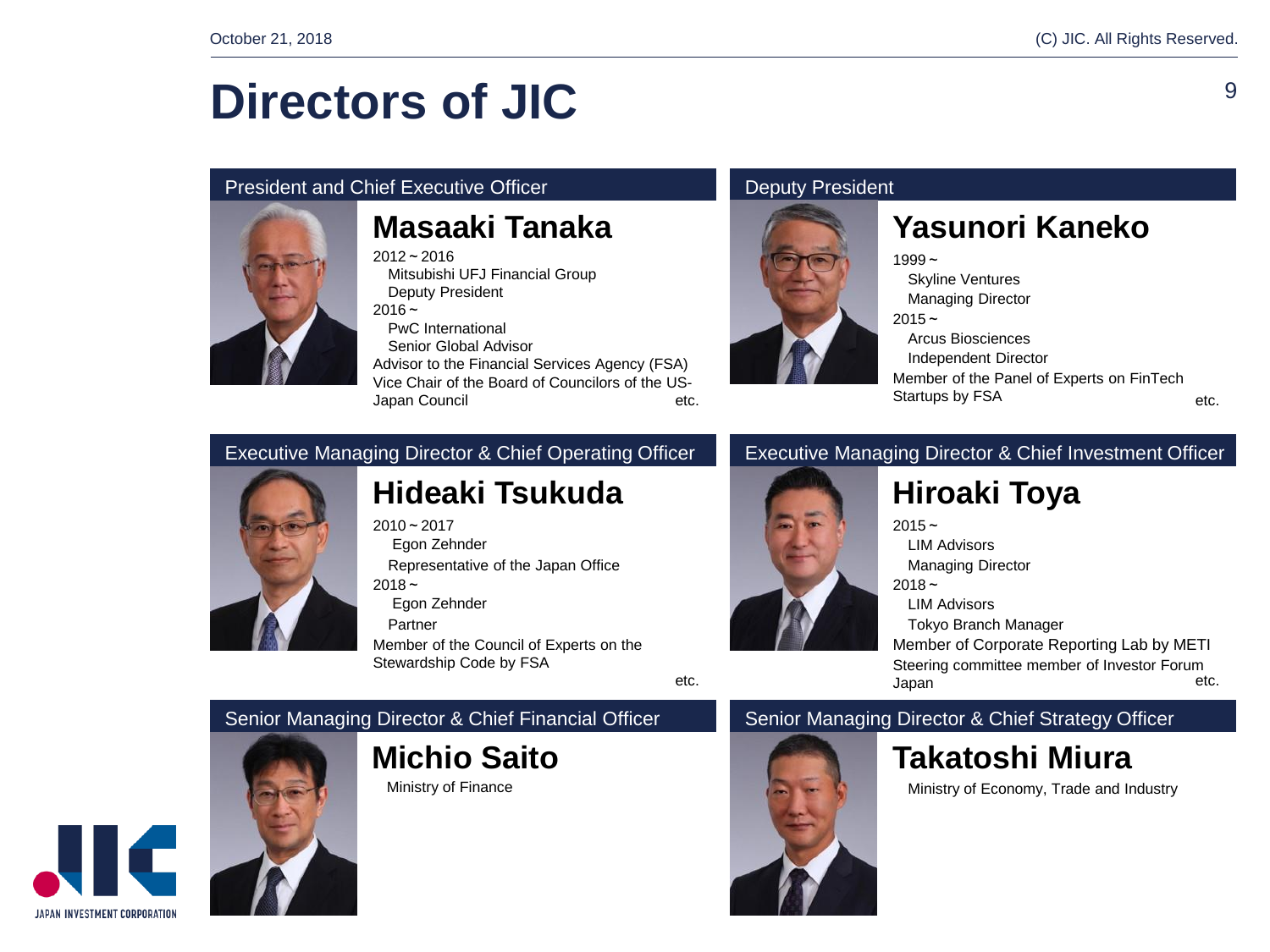### **Directors of JIC**

#### President and Chief Executive Officer **Deputy President** Deputy President



### **Masaaki Tanaka**

 $2012 - 2016$ 

Mitsubishi UFJ Financial Group Deputy President  $2016 -$ 

PwC International

Senior Global Advisor

Advisor to the Financial Services Agency (FSA) Vice Chair of the Board of Councilors of the US-Japan Council etc.



### **Yasunori Kaneko**

 $1999 -$ Skyline Ventures Managing Director  $2015 -$ Arcus Biosciences Independent Director Member of the Panel of Experts on FinTech Startups by FSA

#### etc.

9

#### Executive Managing Director & Chief Operating Officer **Executive Managing Director & Chief Investment Officer**



### **Hideaki Tsukuda**

 $2010 - 2017$ Egon Zehnder

Representative of the Japan Office

 $2018 -$ 

Egon Zehnder

Partner

Member of the Council of Experts on the Stewardship Code by FSA

#### Senior Managing Director & Chief Financial Officer Senior Managing Director & Chief Strategy Officer



**Michio Saito**

Ministry of Finance

## Japan

### **Hiroaki Toya**  $2015 -$

LIM Advisors Managing Director

 $2018 -$ 

LIM Advisors

Tokyo Branch Manager

Member of Corporate Reporting Lab by METI Steering committee member of Investor Forum etc.

etc.

### **Takatoshi Miura**

Ministry of Economy, Trade and Industry

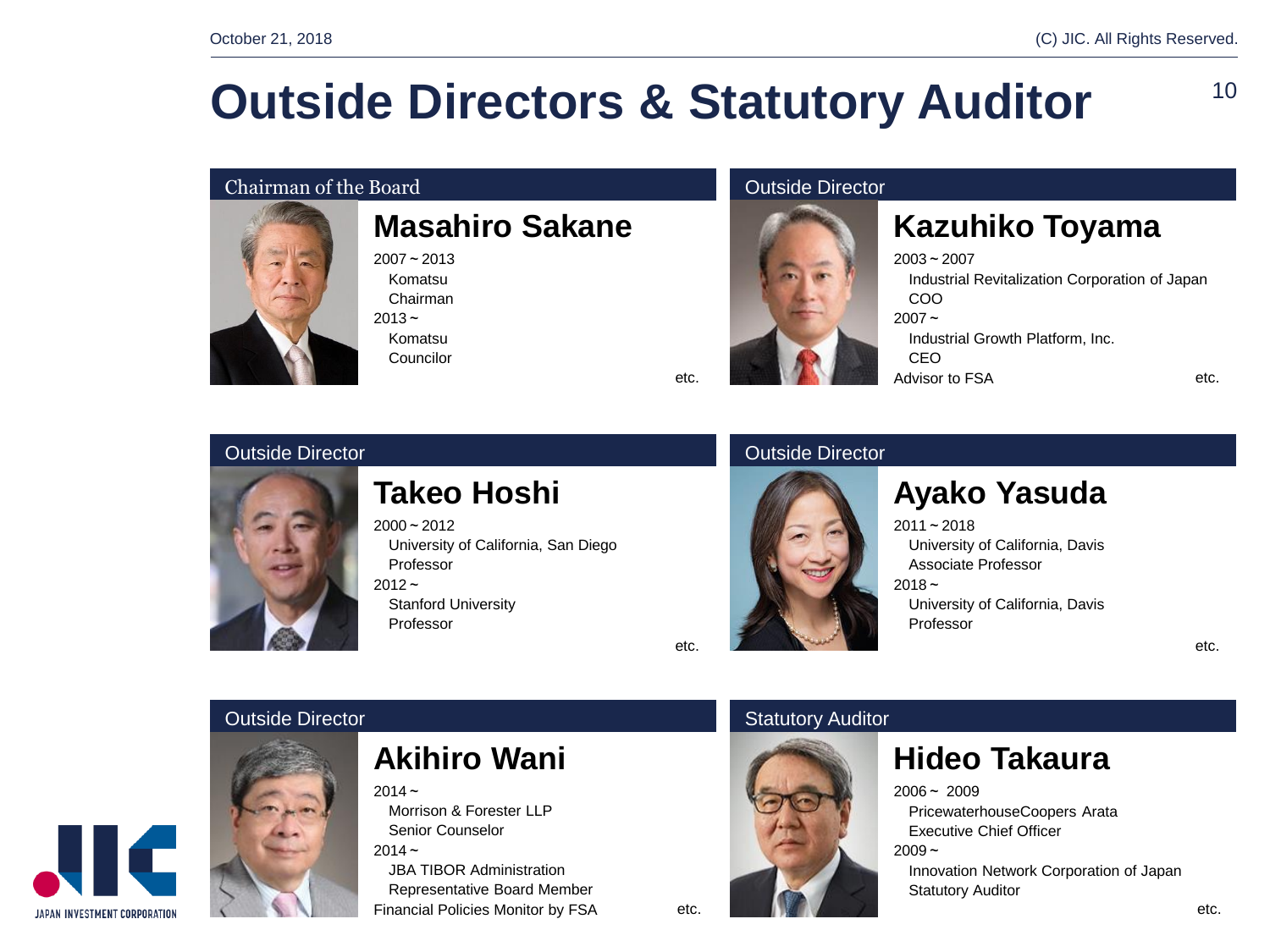### **Outside Directors & Statutory Auditor**

#### **Chairman of the Board Chairman of the Board Chairman of the Board Chairman of the Board Chairman of the Board**



### **Masahiro Sakane**

 $2007 - 2013$ Komatsu Chairman  $2013 -$ Komatsu Councilor



### **Kazuhiko Toyama**

2003~2007 Industrial Revitalization Corporation of Japan COO  $2007 -$ Industrial Growth Platform, Inc. CEO Advisor to FSA etc.

#### **Outside Director Outside Director Outside Director**



### **Takeo Hoshi**

 $2000 - 2012$ University of California, San Diego Professor  $2012 -$ Stanford University Professor

etc.

etc.



### **Ayako Yasuda**

2011~2018 University of California, Davis Associate Professor  $2018 -$ University of California, Davis Professor

etc.



### **Akihiro Wani**

 $2014 -$ 

Morrison & Forester LLP Senior Counselor  $2014 -$ 

JBA TIBOR Administration Representative Board Member Financial Policies Monitor by FSA

#### **Outside Director** Statutory Auditor Statutory Auditor



### **Hideo Takaura**

 $2006 - 2009$ 

PricewaterhouseCoopers Arata Executive Chief Officer

 $2009 -$ 

Innovation Network Corporation of Japan Statutory Auditor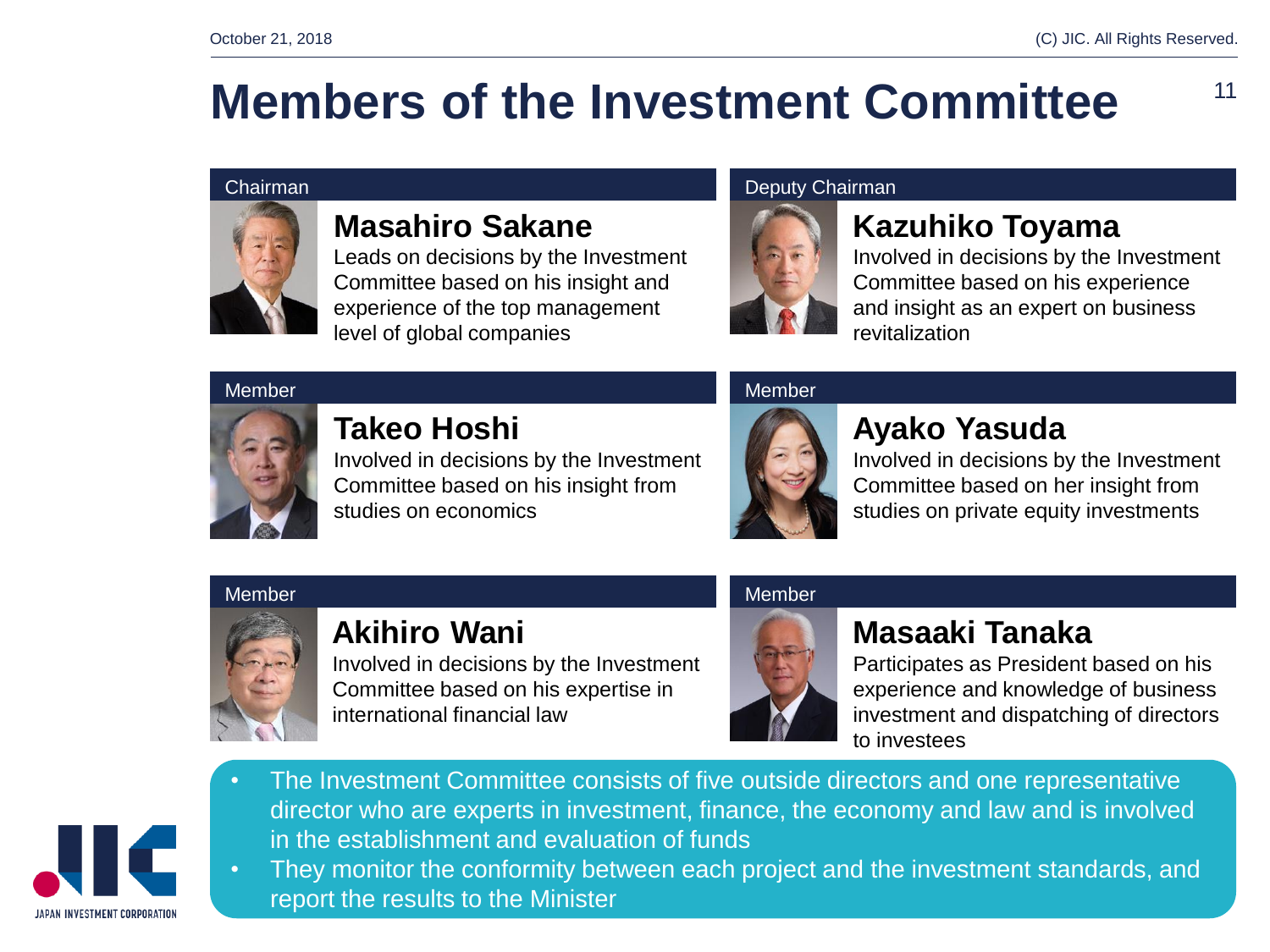## **Members of the Investment Committee**



### **Masahiro Sakane**

Leads on decisions by the Investment Committee based on his insight and experience of the top management level of global companies

### Chairman **Deputy Chairman**



### **Kazuhiko Toyama**

Involved in decisions by the Investment Committee based on his experience and insight as an expert on business revitalization

#### Member **Member** Member Member Member Member Member Member



### **Takeo Hoshi**

Involved in decisions by the Investment Committee based on his insight from studies on economics



### **Ayako Yasuda**

Involved in decisions by the Investment Committee based on her insight from studies on private equity investments

#### Member **Member** Member Member Member Member Member Member



### **Akihiro Wani**

Involved in decisions by the Investment Committee based on his expertise in international financial law



### **Masaaki Tanaka**

Participates as President based on his experience and knowledge of business investment and dispatching of directors to investees



- The Investment Committee consists of five outside directors and one representative director who are experts in investment, finance, the economy and law and is involved in the establishment and evaluation of funds
- They monitor the conformity between each project and the investment standards, and report the results to the Minister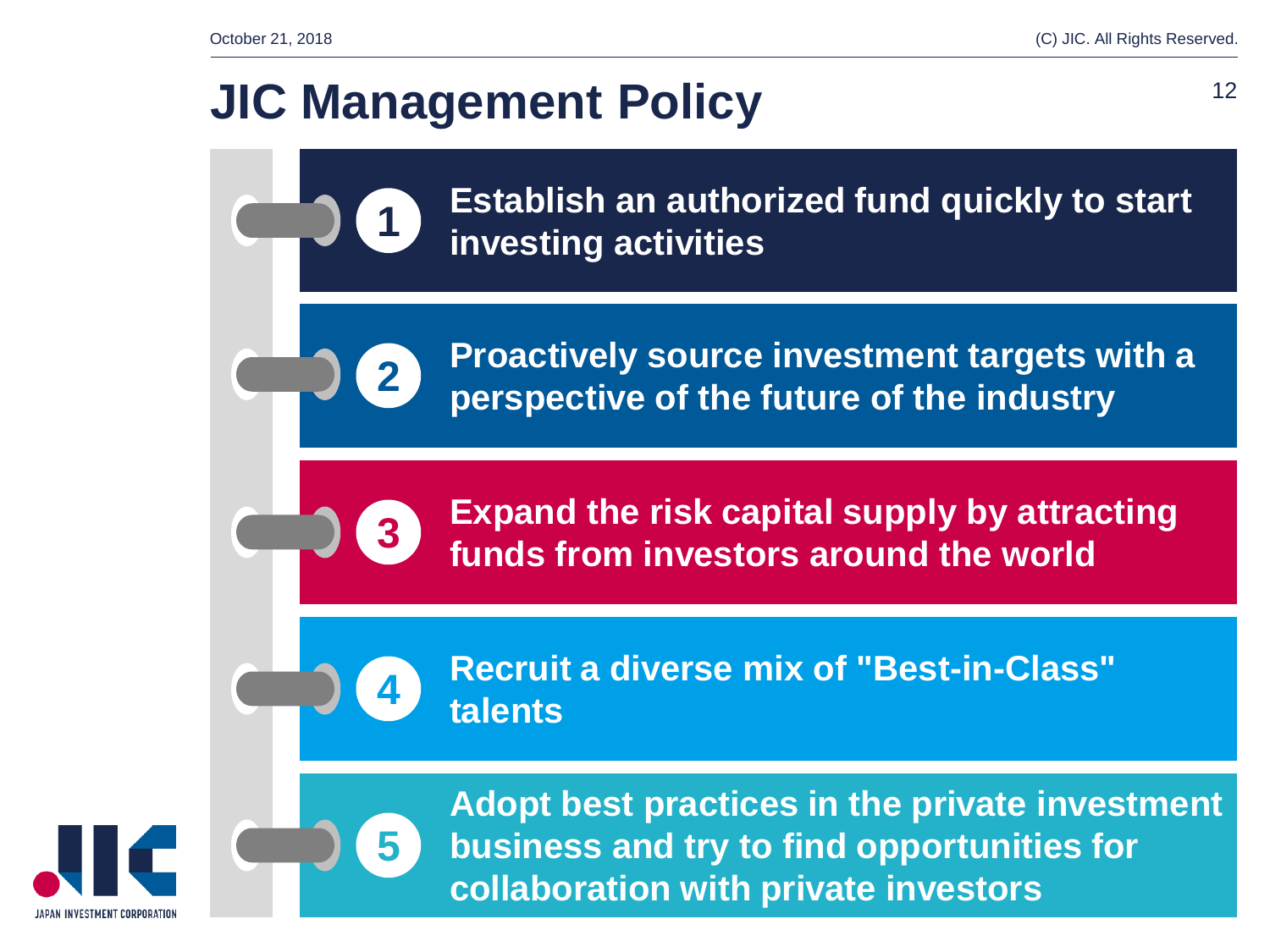### **JIC Management Policy**

**1**

**2**

**3**

**4**

**5**

**Establish an authorized fund quickly to start investing activities**

**Proactively source investment targets with a perspective of the future of the industry**

**Expand the risk capital supply by attracting funds from investors around the world**

**Recruit a diverse mix of "Best-in-Class" talents**



**Adopt best practices in the private investment business and try to find opportunities for collaboration with private investors**